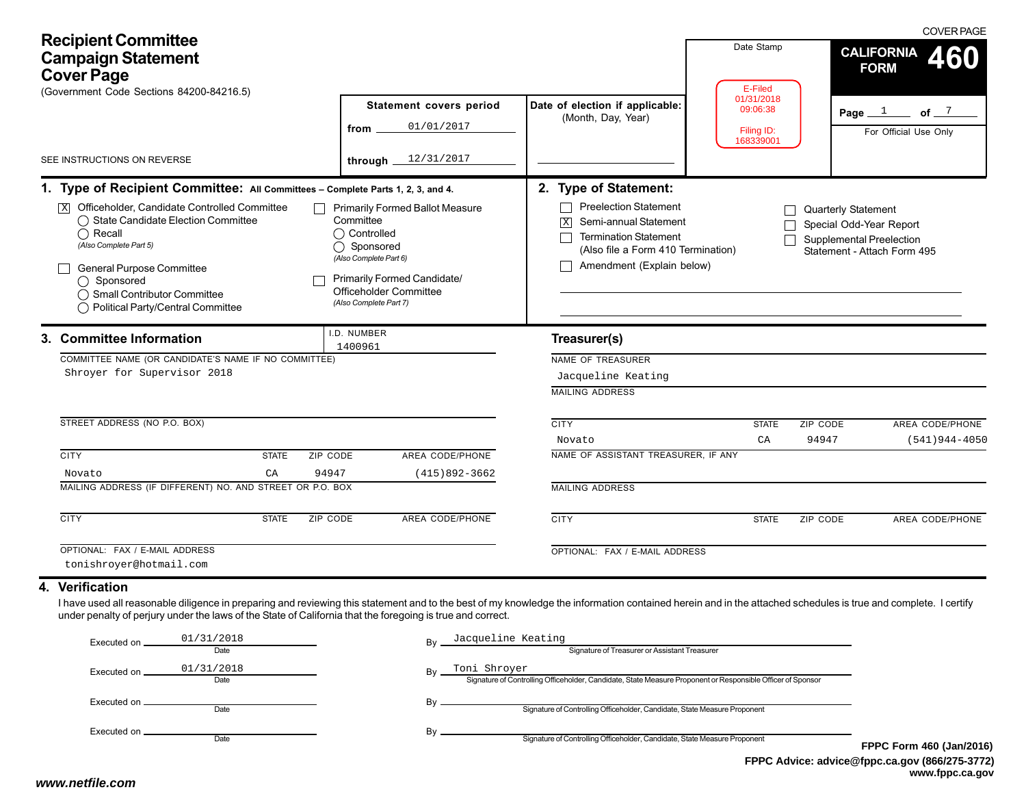| <b>Recipient Committee</b><br><b>Campaign Statement</b><br><b>Cover Page</b><br>(Government Code Sections 84200-84216.5)                                                                                                                                                                                                                                                                                                                                                                                                                                                                                                                                                                                       |                                                                         |                                                                                                                                                                                                                                                                                | Date Stamp<br>E-Filed                             | <b>COVER PAGE</b><br><b>CALIFORNIA</b><br>460<br><b>FORM</b>                                                     |
|----------------------------------------------------------------------------------------------------------------------------------------------------------------------------------------------------------------------------------------------------------------------------------------------------------------------------------------------------------------------------------------------------------------------------------------------------------------------------------------------------------------------------------------------------------------------------------------------------------------------------------------------------------------------------------------------------------------|-------------------------------------------------------------------------|--------------------------------------------------------------------------------------------------------------------------------------------------------------------------------------------------------------------------------------------------------------------------------|---------------------------------------------------|------------------------------------------------------------------------------------------------------------------|
| SEE INSTRUCTIONS ON REVERSE                                                                                                                                                                                                                                                                                                                                                                                                                                                                                                                                                                                                                                                                                    | Statement covers period<br>01/01/2017<br>from<br>12/31/2017<br>through. | Date of election if applicable:<br>(Month, Day, Year)                                                                                                                                                                                                                          | 01/31/2018<br>09:06:38<br>Filing ID:<br>168339001 | Page $1$ of $7$<br>For Official Use Only                                                                         |
| 1. Type of Recipient Committee: All Committees - Complete Parts 1, 2, 3, and 4.<br>Officeholder, Candidate Controlled Committee<br><b>Primarily Formed Ballot Measure</b><br> X <br>◯ State Candidate Election Committee<br>Committee<br>$\bigcap$ Recall<br>◯ Controlled<br>(Also Complete Part 5)<br>◯ Sponsored<br>(Also Complete Part 6)<br><b>General Purpose Committee</b><br>Primarily Formed Candidate/<br>◯ Sponsored<br><b>Officeholder Committee</b><br>◯ Small Contributor Committee<br>(Also Complete Part 7)<br>◯ Political Party/Central Committee<br>I.D. NUMBER<br>3. Committee Information<br>1400961<br>COMMITTEE NAME (OR CANDIDATE'S NAME IF NO COMMITTEE)<br>Shroyer for Supervisor 2018 |                                                                         | 2. Type of Statement:<br><b>Preelection Statement</b><br>Semi-annual Statement<br>$\boxed{\mathbf{X}}$<br><b>Termination Statement</b><br>$\Box$<br>(Also file a Form 410 Termination)<br>Amendment (Explain below)<br>Treasurer(s)<br>NAME OF TREASURER<br>Jacqueline Keating |                                                   | <b>Quarterly Statement</b><br>Special Odd-Year Report<br>Supplemental Preelection<br>Statement - Attach Form 495 |
| STREET ADDRESS (NO P.O. BOX)<br><b>CITY</b><br><b>STATE</b><br>ZIP CODE<br>94947<br>CA<br>Novato<br>MAILING ADDRESS (IF DIFFERENT) NO. AND STREET OR P.O. BOX<br><b>CITY</b><br><b>STATE</b><br><b>ZIP CODE</b>                                                                                                                                                                                                                                                                                                                                                                                                                                                                                                | AREA CODE/PHONE<br>$(415)892 - 3662$<br><b>AREA CODE/PHONE</b>          | <b>MAILING ADDRESS</b><br><b>CITY</b><br>Novato<br>NAME OF ASSISTANT TREASURER, IF ANY<br><b>MAILING ADDRESS</b><br><b>CITY</b>                                                                                                                                                | <b>STATE</b><br>CA<br><b>STATE</b>                | ZIP CODE<br>AREA CODE/PHONE<br>94947<br>$(541)944 - 4050$<br>ZIP CODE<br><b>AREA CODE/PHONE</b>                  |
| OPTIONAL: FAX / E-MAIL ADDRESS<br>tonishroyer@hotmail.com<br>4. Verification<br>I have used all reasonable diligence in preparing and reviewing this statement and to the best of my knowledge the information contained herein and in the attached schedules is true and complete. I certify                                                                                                                                                                                                                                                                                                                                                                                                                  |                                                                         | OPTIONAL: FAX / E-MAIL ADDRESS                                                                                                                                                                                                                                                 |                                                   |                                                                                                                  |

| Executed on   | 01/31/2018<br>Date | Bv | Jacqueline Keating<br>Signature of Treasurer or Assistant Treasurer                                                         |            |
|---------------|--------------------|----|-----------------------------------------------------------------------------------------------------------------------------|------------|
| Executed on   | 01/31/2018<br>Date | Bv | Toni Shroyer<br>Signature of Controlling Officeholder, Candidate, State Measure Proponent or Responsible Officer of Sponsor |            |
| Executed on   | Date               | Bv | Signature of Controlling Officeholder, Candidate, State Measure Proponent                                                   |            |
| Executed on . | Date               | Bv | Signature of Controlling Officeholder, Candidate, State Measure Proponent                                                   | <b>FPP</b> |

**FPPC Advice: advice@fppc.ca.gov (866/275-3772) www.fppc.ca.gov C Form 460 (Jan/2016)**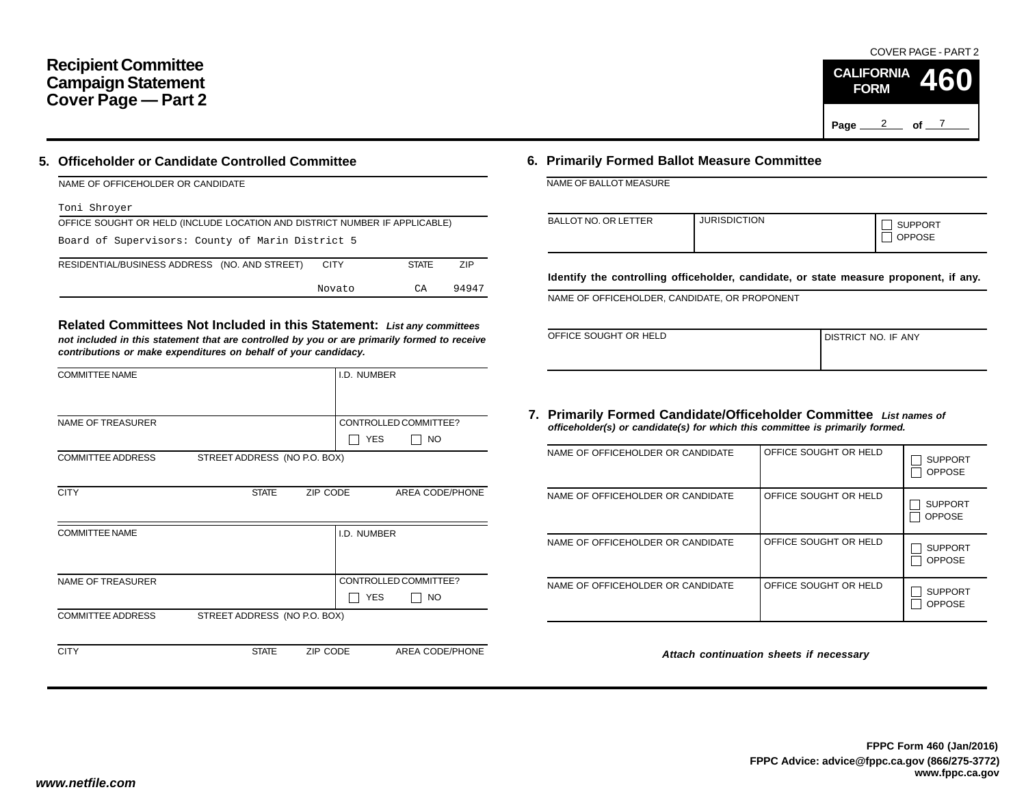# **Recipient Committee Campaign Statement Cover Page — Part 2**

### **5. Officeholder or Candidate Controlled Committee**

| NAME OF OFFICEHOLDER OR CANDIDATE |  |
|-----------------------------------|--|
|                                   |  |

#### Toni Shroyer

| OFFICE SOUGHT OR HELD (INCLUDE LOCATION AND DISTRICT NUMBER IF APPLICABLE) |        |              |       |  |  |  |  |  |
|----------------------------------------------------------------------------|--------|--------------|-------|--|--|--|--|--|
| Board of Supervisors: County of Marin District 5                           |        |              |       |  |  |  |  |  |
| RESIDENTIAL/BUSINESS ADDRESS (NO. AND STREET)                              | CITY   | <b>STATE</b> | 7IP   |  |  |  |  |  |
|                                                                            | Novato | СA           | 94947 |  |  |  |  |  |

**Related Committees Not Included in this Statement:** *List any committees not included in this statement that are controlled by you or are primarily formed to receive contributions or make expenditures on behalf of your candidacy.*

| <b>COMMITTEE NAME</b>    |                              |          | I.D. NUMBER |                       |
|--------------------------|------------------------------|----------|-------------|-----------------------|
|                          |                              |          |             |                       |
| <b>NAME OF TREASURER</b> |                              |          |             | CONTROLLED COMMITTEE? |
|                          |                              |          | <b>YES</b>  | <b>NO</b>             |
| <b>COMMITTEE ADDRESS</b> | STREET ADDRESS (NO P.O. BOX) |          |             |                       |
|                          |                              |          |             |                       |
| <b>CITY</b>              | <b>STATE</b>                 | ZIP CODE |             | AREA CODE/PHONE       |
|                          |                              |          |             |                       |
| <b>COMMITTEE NAME</b>    |                              |          | I.D. NUMBER |                       |
|                          |                              |          |             |                       |
|                          |                              |          |             |                       |
| <b>NAME OF TREASURER</b> |                              |          |             | CONTROLLED COMMITTEE? |
|                          |                              |          | <b>YES</b>  | NO.                   |
| <b>COMMITTEE ADDRESS</b> | STREET ADDRESS (NO P.O. BOX) |          |             |                       |
|                          |                              |          |             |                       |
| <b>CITY</b>              | <b>STATE</b>                 | ZIP CODE |             | AREA CODE/PHONE       |

## **6. Primarily Formed Ballot Measure Committee**

NAME OF BALLOT MEASURE

| <b>BALLOT NO. OR LETTER</b> | <b>JURISDICTION</b> | <b>SUPPORT</b><br><b>OPPOSE</b> |
|-----------------------------|---------------------|---------------------------------|
|-----------------------------|---------------------|---------------------------------|

**Identify the controlling officeholder, candidate, or state measure proponent, if any.**

NAME OF OFFICEHOLDER, CANDIDATE, OR PROPONENT

| OFFICE SOUGHT OR HELD | <b>I DISTRICT NO. IF ANY</b> |
|-----------------------|------------------------------|
|                       |                              |

### **7. Primarily Formed Candidate/Officeholder Committee** *List names of officeholder(s) or candidate(s) for which this committee is primarily formed.*

| NAME OF OFFICEHOLDER OR CANDIDATE | OFFICE SOUGHT OR HELD | <b>SUPPORT</b><br><b>OPPOSE</b> |
|-----------------------------------|-----------------------|---------------------------------|
| NAME OF OFFICEHOLDER OR CANDIDATE | OFFICE SOUGHT OR HELD | <b>SUPPORT</b><br><b>OPPOSE</b> |
| NAME OF OFFICEHOLDER OR CANDIDATE | OFFICE SOUGHT OR HELD | <b>SUPPORT</b><br><b>OPPOSE</b> |
| NAME OF OFFICEHOLDER OR CANDIDATE | OFFICE SOUGHT OR HELD | <b>SUPPORT</b><br><b>OPPOSE</b> |

*Attach continuation sheets if necessary*

#### COVER PAGE - PART 2

**460**

Page <u>2</u> of 7

**CALIFORNIA FORM**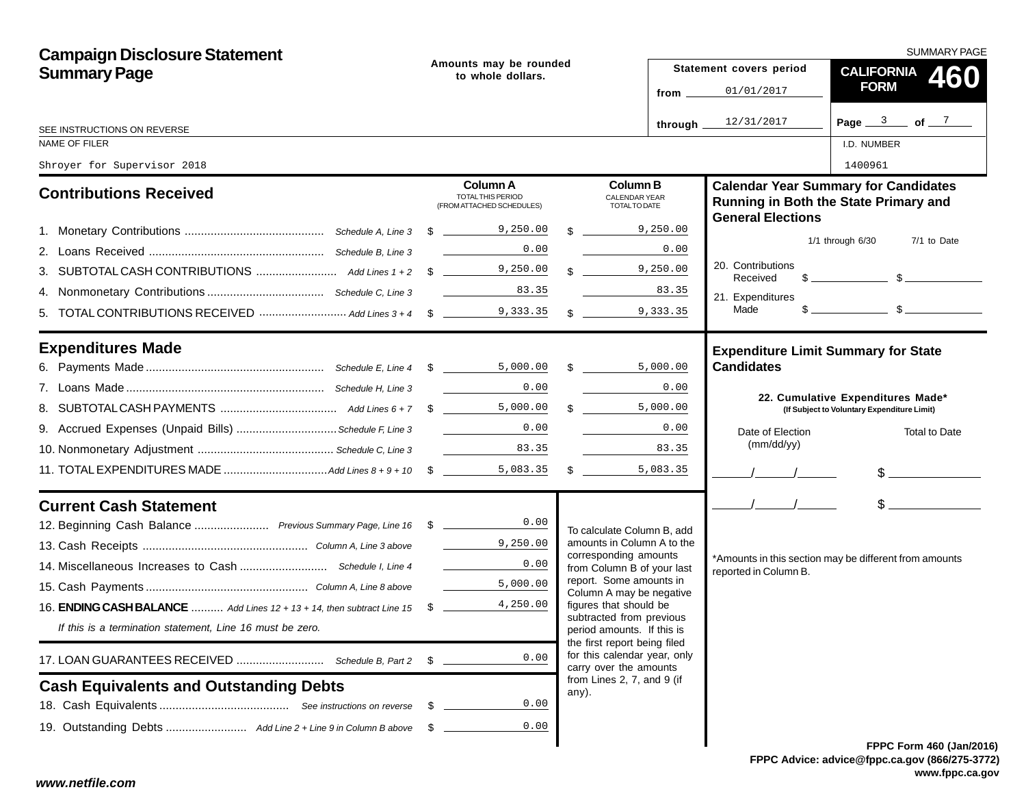| <b>Campaign Disclosure Statement</b>                                                  | Amounts may be rounded<br>to whole dollars. |                                                                                                                                                                                                                                                                                                                                                                                                                                                    |  |                                                                                        | SUMMARY PAGE |                               |                                                                                                                                                                                                                                                                                                                     |  |
|---------------------------------------------------------------------------------------|---------------------------------------------|----------------------------------------------------------------------------------------------------------------------------------------------------------------------------------------------------------------------------------------------------------------------------------------------------------------------------------------------------------------------------------------------------------------------------------------------------|--|----------------------------------------------------------------------------------------|--------------|-------------------------------|---------------------------------------------------------------------------------------------------------------------------------------------------------------------------------------------------------------------------------------------------------------------------------------------------------------------|--|
| <b>Summary Page</b>                                                                   |                                             |                                                                                                                                                                                                                                                                                                                                                                                                                                                    |  |                                                                                        |              | Statement covers period       | CALIFORNIA 460                                                                                                                                                                                                                                                                                                      |  |
|                                                                                       |                                             |                                                                                                                                                                                                                                                                                                                                                                                                                                                    |  |                                                                                        | from _       | 01/01/2017                    | <b>FORM</b>                                                                                                                                                                                                                                                                                                         |  |
| SEE INSTRUCTIONS ON REVERSE                                                           |                                             |                                                                                                                                                                                                                                                                                                                                                                                                                                                    |  |                                                                                        | through _    | 12/31/2017                    | Page $3$ of $7$                                                                                                                                                                                                                                                                                                     |  |
| NAME OF FILER                                                                         |                                             |                                                                                                                                                                                                                                                                                                                                                                                                                                                    |  |                                                                                        |              |                               | I.D. NUMBER                                                                                                                                                                                                                                                                                                         |  |
| Shroyer for Supervisor 2018                                                           |                                             |                                                                                                                                                                                                                                                                                                                                                                                                                                                    |  |                                                                                        |              |                               | 1400961                                                                                                                                                                                                                                                                                                             |  |
| <b>Contributions Received</b>                                                         |                                             | <b>Column A</b><br>TOTAL THIS PERIOD<br>(FROM ATTACHED SCHEDULES)                                                                                                                                                                                                                                                                                                                                                                                  |  | <b>Column B</b><br><b>CALENDAR YEAR</b><br>TOTAL TO DATE                               |              | <b>General Elections</b>      | <b>Calendar Year Summary for Candidates</b><br>Running in Both the State Primary and                                                                                                                                                                                                                                |  |
|                                                                                       |                                             |                                                                                                                                                                                                                                                                                                                                                                                                                                                    |  | $\frac{1}{2}$ 9,250.00                                                                 |              |                               |                                                                                                                                                                                                                                                                                                                     |  |
|                                                                                       |                                             | 0.00                                                                                                                                                                                                                                                                                                                                                                                                                                               |  |                                                                                        | 0.00         |                               | $1/1$ through $6/30$<br>7/1 to Date                                                                                                                                                                                                                                                                                 |  |
|                                                                                       |                                             |                                                                                                                                                                                                                                                                                                                                                                                                                                                    |  | 9,250.00                                                                               |              | 20. Contributions<br>Received | $\frac{1}{2}$ $\frac{1}{2}$ $\frac{1}{2}$ $\frac{1}{2}$ $\frac{1}{2}$ $\frac{1}{2}$ $\frac{1}{2}$ $\frac{1}{2}$ $\frac{1}{2}$ $\frac{1}{2}$ $\frac{1}{2}$ $\frac{1}{2}$ $\frac{1}{2}$ $\frac{1}{2}$ $\frac{1}{2}$ $\frac{1}{2}$ $\frac{1}{2}$ $\frac{1}{2}$ $\frac{1}{2}$ $\frac{1}{2}$ $\frac{1}{2}$ $\frac{1}{2}$ |  |
|                                                                                       |                                             | 83.35                                                                                                                                                                                                                                                                                                                                                                                                                                              |  |                                                                                        | 83.35        | 21. Expenditures              |                                                                                                                                                                                                                                                                                                                     |  |
|                                                                                       |                                             |                                                                                                                                                                                                                                                                                                                                                                                                                                                    |  |                                                                                        |              | Made                          | $s$ section $s$                                                                                                                                                                                                                                                                                                     |  |
| <b>Expenditures Made</b>                                                              |                                             |                                                                                                                                                                                                                                                                                                                                                                                                                                                    |  |                                                                                        |              |                               | <b>Expenditure Limit Summary for State</b>                                                                                                                                                                                                                                                                          |  |
|                                                                                       |                                             |                                                                                                                                                                                                                                                                                                                                                                                                                                                    |  |                                                                                        |              | <b>Candidates</b>             |                                                                                                                                                                                                                                                                                                                     |  |
|                                                                                       |                                             | 0.00                                                                                                                                                                                                                                                                                                                                                                                                                                               |  |                                                                                        | 0.00         |                               | 22. Cumulative Expenditures Made*                                                                                                                                                                                                                                                                                   |  |
|                                                                                       |                                             |                                                                                                                                                                                                                                                                                                                                                                                                                                                    |  | $\mathbb{S}$<br>5,000.00                                                               |              |                               | (If Subject to Voluntary Expenditure Limit)                                                                                                                                                                                                                                                                         |  |
| 9. Accrued Expenses (Unpaid Bills)  Schedule F, Line 3                                |                                             |                                                                                                                                                                                                                                                                                                                                                                                                                                                    |  |                                                                                        | 0.00         | Date of Election              | <b>Total to Date</b>                                                                                                                                                                                                                                                                                                |  |
|                                                                                       |                                             | $\label{eq:2} \begin{split} \frac{1}{\sqrt{2\pi}}\left(\frac{1}{\sqrt{2\pi}}\right)^{1/2}\left(\frac{1}{\sqrt{2\pi}}\right)^{1/2}\left(\frac{1}{\sqrt{2\pi}}\right)^{1/2}\left(\frac{1}{\sqrt{2\pi}}\right)^{1/2}\left(\frac{1}{\sqrt{2\pi}}\right)^{1/2}\left(\frac{1}{\sqrt{2\pi}}\right)^{1/2}\left(\frac{1}{\sqrt{2\pi}}\right)^{1/2}\left(\frac{1}{\sqrt{2\pi}}\right)^{1/2}\left(\frac{1}{\sqrt{2\pi}}\right)^{1/2}\left(\frac{1}{$<br>83.35 |  |                                                                                        | 83.35        | (mm/dd/yy)                    |                                                                                                                                                                                                                                                                                                                     |  |
|                                                                                       |                                             |                                                                                                                                                                                                                                                                                                                                                                                                                                                    |  | $\sim$<br>5,083.35                                                                     |              |                               | $\frac{1}{2}$                                                                                                                                                                                                                                                                                                       |  |
| <b>Current Cash Statement</b>                                                         |                                             |                                                                                                                                                                                                                                                                                                                                                                                                                                                    |  |                                                                                        |              | $\frac{1}{2}$                 | $\frac{1}{2}$                                                                                                                                                                                                                                                                                                       |  |
| 12. Beginning Cash Balance  Previous Summary Page, Line 16 \$ _______________0.00     |                                             |                                                                                                                                                                                                                                                                                                                                                                                                                                                    |  | To calculate Column B, add                                                             |              |                               |                                                                                                                                                                                                                                                                                                                     |  |
|                                                                                       |                                             | $\frac{9}{2}$ , 250.00                                                                                                                                                                                                                                                                                                                                                                                                                             |  | amounts in Column A to the                                                             |              |                               |                                                                                                                                                                                                                                                                                                                     |  |
|                                                                                       |                                             | 0.00                                                                                                                                                                                                                                                                                                                                                                                                                                               |  | corresponding amounts<br>from Column B of your last                                    |              | reported in Column B.         | *Amounts in this section may be different from amounts                                                                                                                                                                                                                                                              |  |
|                                                                                       |                                             | 5,000.00                                                                                                                                                                                                                                                                                                                                                                                                                                           |  | report. Some amounts in<br>Column A may be negative                                    |              |                               |                                                                                                                                                                                                                                                                                                                     |  |
| 16. <b>ENDING CASH BALANCE</b> , and Lines $12 + 13 + 14$ , then subtract Line $15\%$ |                                             | 4,250.00                                                                                                                                                                                                                                                                                                                                                                                                                                           |  | figures that should be                                                                 |              |                               |                                                                                                                                                                                                                                                                                                                     |  |
| If this is a termination statement, Line 16 must be zero.                             |                                             |                                                                                                                                                                                                                                                                                                                                                                                                                                                    |  | subtracted from previous<br>period amounts. If this is                                 |              |                               |                                                                                                                                                                                                                                                                                                                     |  |
|                                                                                       | \$                                          | 0.00                                                                                                                                                                                                                                                                                                                                                                                                                                               |  | the first report being filed<br>for this calendar year, only<br>carry over the amounts |              |                               |                                                                                                                                                                                                                                                                                                                     |  |
| <b>Cash Equivalents and Outstanding Debts</b>                                         |                                             |                                                                                                                                                                                                                                                                                                                                                                                                                                                    |  | from Lines 2, 7, and 9 (if<br>any).                                                    |              |                               |                                                                                                                                                                                                                                                                                                                     |  |
|                                                                                       | - \$                                        | 0.00                                                                                                                                                                                                                                                                                                                                                                                                                                               |  |                                                                                        |              |                               |                                                                                                                                                                                                                                                                                                                     |  |
|                                                                                       | - \$                                        | 0.00                                                                                                                                                                                                                                                                                                                                                                                                                                               |  |                                                                                        |              |                               |                                                                                                                                                                                                                                                                                                                     |  |
|                                                                                       |                                             |                                                                                                                                                                                                                                                                                                                                                                                                                                                    |  |                                                                                        |              |                               | <b>FPPC Form 460 (Jan/201)</b>                                                                                                                                                                                                                                                                                      |  |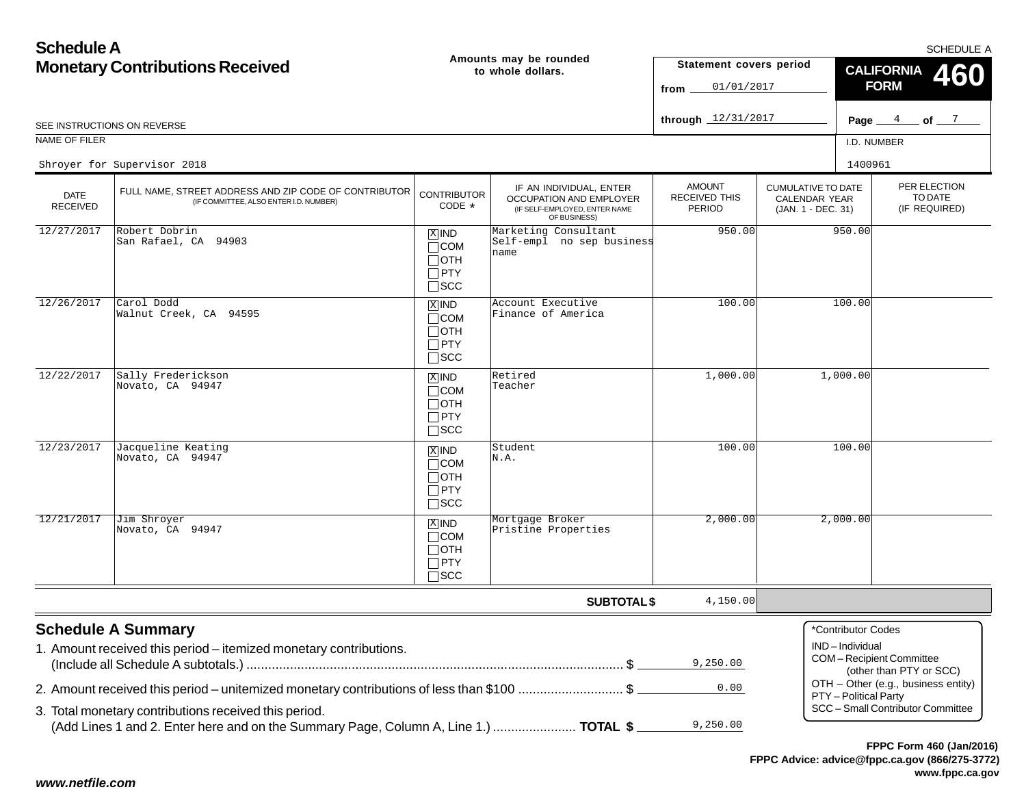| <b>Schedule A</b>                      |                                                                                                                                               |                                                                    |                                                                                                     |                                                 |                                                                  | SCHEDULE A                                                                                 |  |  |
|----------------------------------------|-----------------------------------------------------------------------------------------------------------------------------------------------|--------------------------------------------------------------------|-----------------------------------------------------------------------------------------------------|-------------------------------------------------|------------------------------------------------------------------|--------------------------------------------------------------------------------------------|--|--|
| <b>Monetary Contributions Received</b> |                                                                                                                                               |                                                                    | Amounts may be rounded<br>to whole dollars.                                                         | Statement covers period<br>01/01/2017<br>from   |                                                                  | <b>CALIFORNIA</b><br><b>FORM</b>                                                           |  |  |
|                                        | SEE INSTRUCTIONS ON REVERSE                                                                                                                   |                                                                    |                                                                                                     | through 12/31/2017                              |                                                                  | 4<br>$\_$ of $\_$ $^7$ $\_$<br>Page                                                        |  |  |
| NAME OF FILER                          |                                                                                                                                               |                                                                    |                                                                                                     |                                                 |                                                                  | I.D. NUMBER                                                                                |  |  |
|                                        | Shroyer for Supervisor 2018                                                                                                                   |                                                                    |                                                                                                     |                                                 |                                                                  | 1400961                                                                                    |  |  |
| <b>DATE</b><br><b>RECEIVED</b>         | FULL NAME, STREET ADDRESS AND ZIP CODE OF CONTRIBUTOR<br>(IF COMMITTEE, ALSO ENTER I.D. NUMBER)                                               | <b>CONTRIBUTOR</b><br>CODE *                                       | IF AN INDIVIDUAL, ENTER<br>OCCUPATION AND EMPLOYER<br>(IF SELF-EMPLOYED, ENTER NAME<br>OF BUSINESS) | <b>AMOUNT</b><br><b>RECEIVED THIS</b><br>PERIOD | <b>CUMULATIVE TO DATE</b><br>CALENDAR YEAR<br>(JAN. 1 - DEC. 31) | PER ELECTION<br>TO DATE<br>(IF REQUIRED)                                                   |  |  |
| 12/27/2017                             | Robert Dobrin<br>San Rafael, CA 94903                                                                                                         | $X$ IND<br>$\Box$ COM<br>$\Box$ OTH<br>$\Box$ PTY<br>$\square$ SCC | Marketing Consultant<br>Self-empl no sep business<br>name                                           | 950.00                                          |                                                                  | 950.00                                                                                     |  |  |
| 12/26/2017                             | Carol Dodd<br>Walnut Creek, CA 94595                                                                                                          | $X$ IND<br>$\Box$ COM<br>$\Box$ OTH<br>$\Box$ PTY<br>$\square$ SCC | Account Executive<br>Finance of America                                                             | 100.00                                          |                                                                  | 100.00                                                                                     |  |  |
| 12/22/2017                             | Sally Frederickson<br>Novato, CA 94947                                                                                                        | $X$ IND<br>$\Box$ COM<br>$\Box$ OTH<br>$\Box$ PTY<br>$\Box$ SCC    | Retired<br>Teacher                                                                                  | 1,000.00                                        |                                                                  | 1,000.00                                                                                   |  |  |
| 12/23/2017                             | Jacqueline Keating<br>Novato, CA 94947                                                                                                        | $X$ IND<br>$\Box$ COM<br>$\Box$ OTH<br>$\Box$ PTY<br>$\square$ SCC | Student<br>N.A.                                                                                     | 100.00                                          |                                                                  | 100.00                                                                                     |  |  |
| 12/21/2017                             | Jim Shroyer<br>Novato, CA 94947                                                                                                               | $X$ IND<br>$\Box$ COM<br>$\Box$ OTH<br>$\Box$ PTY<br>$\square$ SCC | Mortgage Broker<br>Pristine Properties                                                              | 2,000.00                                        |                                                                  | 2,000.00                                                                                   |  |  |
|                                        |                                                                                                                                               |                                                                    | <b>SUBTOTAL \$</b>                                                                                  | 4,150.00                                        |                                                                  |                                                                                            |  |  |
|                                        | <b>Schedule A Summary</b><br>1. Amount received this period - itemized monetary contributions.                                                |                                                                    |                                                                                                     | 9,250.00                                        |                                                                  | *Contributor Codes<br>IND-Individual<br>COM-Recipient Committee<br>(other than PTY or SCC) |  |  |
|                                        | 2. Amount received this period – unitemized monetary contributions of less than \$100 \$                                                      |                                                                    |                                                                                                     | 0.00                                            |                                                                  | OTH - Other (e.g., business entity)<br>PTY - Political Party                               |  |  |
|                                        | 3. Total monetary contributions received this period.<br>(Add Lines 1 and 2. Enter here and on the Summary Page, Column A, Line 1.)  TOTAL \$ |                                                                    |                                                                                                     | 9,250.00                                        |                                                                  | SCC - Small Contributor Committee                                                          |  |  |
|                                        |                                                                                                                                               |                                                                    |                                                                                                     |                                                 |                                                                  | FPPC Form 460 (Jan/2016)                                                                   |  |  |

**FPPC Advice: advice@fppc.ca.gov (866/275-3772)www.fppc.ca.gov**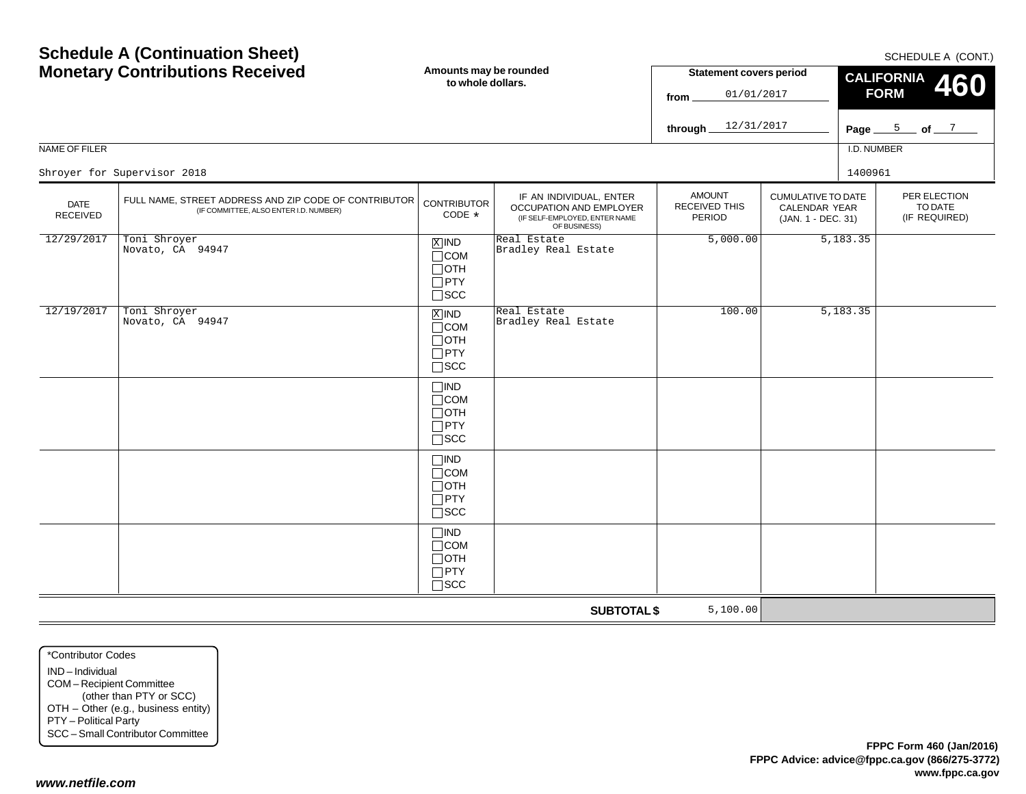SCHEDULE A (CONT)

| <b>Monetary Contributions Received</b><br>NAME OF FILER                                                                    |                                  | Amounts may be rounded<br>to whole dollars.                                   |                                                                                                     |                                                                                                              |  | <b>CALIFORNIA</b><br>460<br><b>FORM</b><br>Page $5$ of $7$<br>I.D. NUMBER |                                          |  |
|----------------------------------------------------------------------------------------------------------------------------|----------------------------------|-------------------------------------------------------------------------------|-----------------------------------------------------------------------------------------------------|--------------------------------------------------------------------------------------------------------------|--|---------------------------------------------------------------------------|------------------------------------------|--|
|                                                                                                                            | Shroyer for Supervisor 2018      |                                                                               |                                                                                                     |                                                                                                              |  | 1400961                                                                   |                                          |  |
| FULL NAME, STREET ADDRESS AND ZIP CODE OF CONTRIBUTOR<br><b>DATE</b><br>(IF COMMITTEE, ALSO ENTER I.D. NUMBER)<br>RECEIVED |                                  | <b>CONTRIBUTOR</b><br>CODE *                                                  | IF AN INDIVIDUAL, ENTER<br>OCCUPATION AND EMPLOYER<br>(IF SELF-EMPLOYED, ENTER NAME<br>OF BUSINESS) | <b>AMOUNT</b><br><b>CUMULATIVE TO DATE</b><br>RECEIVED THIS<br>CALENDAR YEAR<br>PERIOD<br>(JAN. 1 - DEC. 31) |  |                                                                           | PER ELECTION<br>TO DATE<br>(IF REQUIRED) |  |
| 12/29/2017                                                                                                                 | Toni Shroyer<br>Novato, CA 94947 | $X$ IND<br>$\Box$ COM<br>$\Box$ OTH<br>$\Box$ PTY<br>$\square$ SCC            | Real Estate<br>Bradley Real Estate                                                                  | 5,000.00                                                                                                     |  | 5,183.35                                                                  |                                          |  |
| 12/19/2017                                                                                                                 | Toni Shroyer<br>Novato, CA 94947 | $\overline{X}$ IND<br>$\Box$ COM<br>$\Box$ OTH<br>$\Box$ PTY<br>$\square$ SCC | Real Estate<br>Bradley Real Estate                                                                  | 100.00                                                                                                       |  | 5,183.35                                                                  |                                          |  |
|                                                                                                                            |                                  | $\Box$ IND<br>$\Box$ COM<br>$\Box$ OTH<br>$\Box$ PTY<br>$\square$ SCC         |                                                                                                     |                                                                                                              |  |                                                                           |                                          |  |
|                                                                                                                            |                                  | $\Box$ IND<br>$\Box$ COM<br>$\Box$ OTH<br>$\Box$ PTY<br>$\square$ SCC         |                                                                                                     |                                                                                                              |  |                                                                           |                                          |  |
|                                                                                                                            |                                  | $\Box$ IND<br>$\Box$ COM<br>$\Box$ OTH<br>$\Box$ PTY<br>$\square$ SCC         |                                                                                                     |                                                                                                              |  |                                                                           |                                          |  |
|                                                                                                                            |                                  |                                                                               | <b>SUBTOTAL \$</b>                                                                                  | 5,100.00                                                                                                     |  |                                                                           |                                          |  |

\*Contributor CodesIND – Individual COM – Recipient Committee (other than PTY or SCC) OTH – Other (e.g., business entity) PTY – Political Party SCC – Small Contributor Committee

**Schedule A (Continuation Sheet)**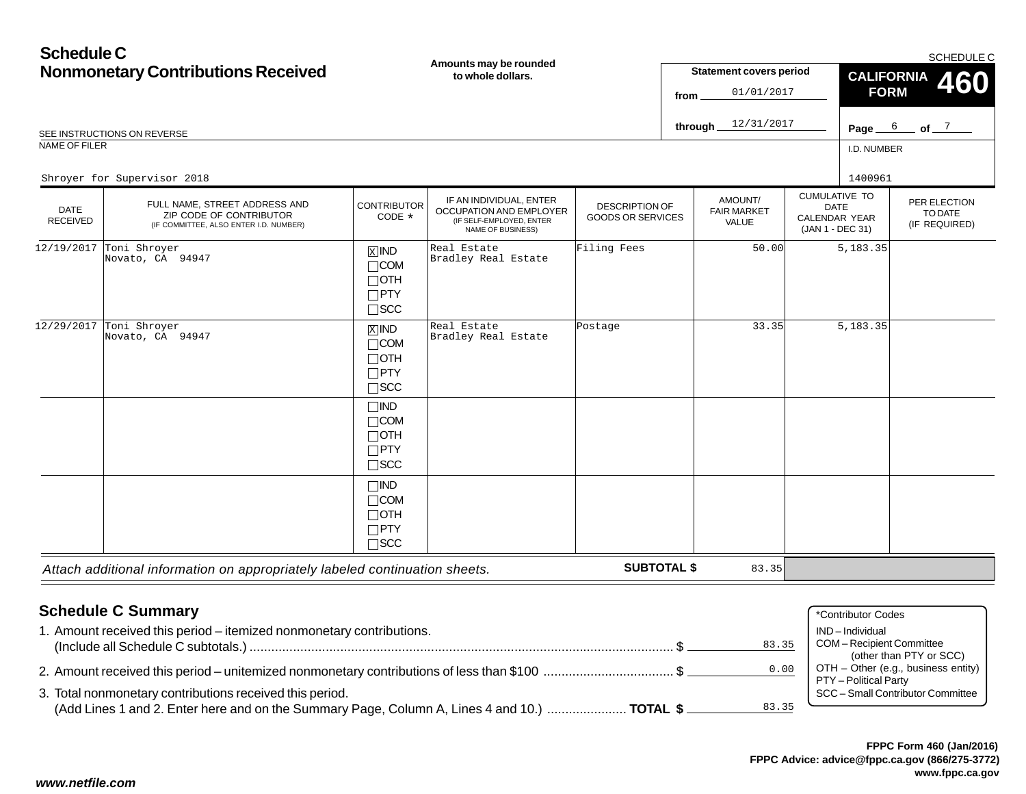| <b>Schedule C</b><br><b>Nonmonetary Contributions Received</b><br>SEE INSTRUCTIONS ON REVERSE<br>NAME OF FILER |                                                                                                    | Amounts may be rounded<br>to whole dollars.                           |                                                                                                     |                                                   | <b>Statement covers period</b><br>01/01/2017<br>from<br>12/31/2017<br>through_ |                                        |                                                                                 | SCHEDULE C<br><b>CALIFORNIA</b><br><b>460</b><br><b>FORM</b><br>Page $6$ of $7$<br>I.D. NUMBER |                                          |
|----------------------------------------------------------------------------------------------------------------|----------------------------------------------------------------------------------------------------|-----------------------------------------------------------------------|-----------------------------------------------------------------------------------------------------|---------------------------------------------------|--------------------------------------------------------------------------------|----------------------------------------|---------------------------------------------------------------------------------|------------------------------------------------------------------------------------------------|------------------------------------------|
|                                                                                                                | Shroyer for Supervisor 2018                                                                        |                                                                       |                                                                                                     |                                                   |                                                                                |                                        |                                                                                 | 1400961                                                                                        |                                          |
| <b>DATE</b><br><b>RECEIVED</b>                                                                                 | FULL NAME, STREET ADDRESS AND<br>ZIP CODE OF CONTRIBUTOR<br>(IF COMMITTEE, ALSO ENTER I.D. NUMBER) | <b>CONTRIBUTOR</b><br>CODE *                                          | IF AN INDIVIDUAL, ENTER<br>OCCUPATION AND EMPLOYER<br>(IF SELF-EMPLOYED, ENTER<br>NAME OF BUSINESS) | <b>DESCRIPTION OF</b><br><b>GOODS OR SERVICES</b> |                                                                                | AMOUNT/<br><b>FAIR MARKET</b><br>VALUE | <b>CUMULATIVE TO</b><br><b>DATE</b><br><b>CALENDAR YEAR</b><br>(JAN 1 - DEC 31) |                                                                                                | PER ELECTION<br>TO DATE<br>(IF REQUIRED) |
| 12/19/2017                                                                                                     | Toni Shroyer<br>Novato, CA 94947                                                                   | $X$ IND<br>$\Box$ COM<br>$\Box$ OTH<br>$\Box$ PTY<br>$\square$ SCC    | Real Estate<br>Bradley Real Estate                                                                  | Filing Fees                                       |                                                                                | 50.00                                  |                                                                                 | 5,183.35                                                                                       |                                          |
| 12/29/2017                                                                                                     | Toni Shroyer<br>Novato, CA 94947                                                                   | $X$ IND<br>$\Box$ COM<br>$\Box$ OTH<br>$\Box$ PTY<br>$\square$ SCC    | Real Estate<br>Bradley Real Estate                                                                  | Postage                                           |                                                                                | 33.35                                  |                                                                                 | 5,183.35                                                                                       |                                          |
|                                                                                                                |                                                                                                    | $\Box$ IND<br>$\Box$ COM<br>$\Box$ OTH<br>$\Box$ PTY<br>$\square$ SCC |                                                                                                     |                                                   |                                                                                |                                        |                                                                                 |                                                                                                |                                          |
|                                                                                                                |                                                                                                    | $\Box$ IND<br>$\Box$ COM<br>$\Box$ OTH<br>$\Box$ PTY<br>$\Box$ scc    |                                                                                                     |                                                   |                                                                                |                                        |                                                                                 |                                                                                                |                                          |
|                                                                                                                | Attach additional information on appropriately labeled continuation sheets.                        |                                                                       |                                                                                                     | <b>SUBTOTAL \$</b>                                |                                                                                | 83.35                                  |                                                                                 |                                                                                                |                                          |

#### **Schedule C Summary** 1. Amount received this period – itemized nonmonetary contributions. (Include all Schedule C subtotals.) ..................................................................................................................... \$ 2. Amount received this period – unitemized nonmonetary contributions of less than \$100 .................................... \$ 3. Total nonmonetary contributions received this period. (Add Lines 1 and 2. Enter here and on the Summary Page, Column A, Lines 4 and 10.) ...................... **TOTAL \$** \*Contributor Codes IND – Individual COM – Recipient Committee (other than PTY or SCC) OTH – Other (e.g., business entity) PTY – Political Party SCC – Small Contributor Committee 83.350.0083.35